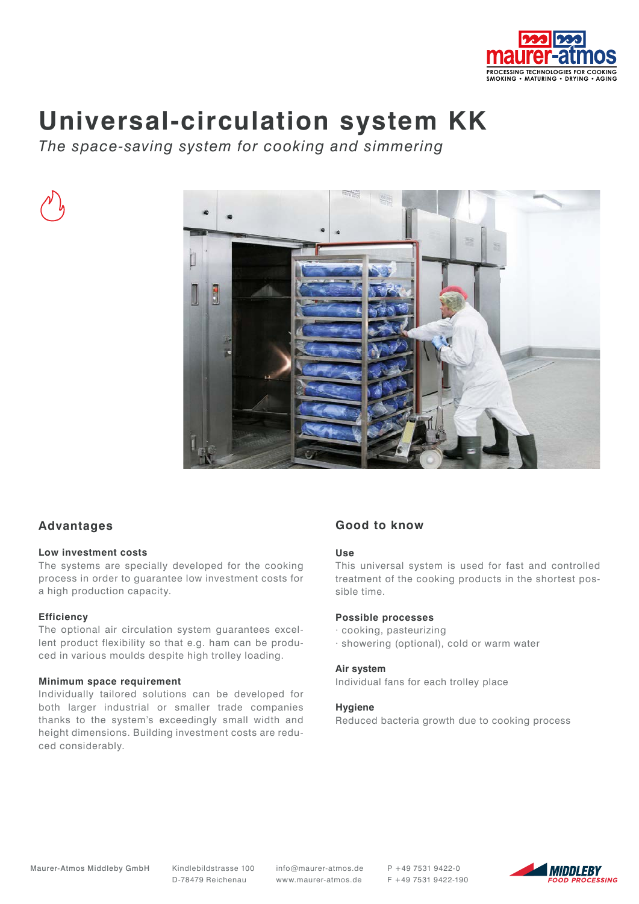

# **Universal-circulation system KK**

*The space-saving system for cooking and simmering*



## **Advantages**

## **Low investment costs**

The systems are specially developed for the cooking process in order to guarantee low investment costs for a high production capacity.

## **Efficiency**

The optional air circulation system guarantees excellent product flexibility so that e.g. ham can be produced in various moulds despite high trolley loading.

## **Minimum space requirement**

Individually tailored solutions can be developed for both larger industrial or smaller trade companies thanks to the system's exceedingly small width and height dimensions. Building investment costs are reduced considerably.

## **Good to know**

## **Use**

This universal system is used for fast and controlled treatment of the cooking products in the shortest possible time.

## **Possible processes**

- · cooking, pasteurizing
- · showering (optional), cold or warm water

### **Air system**

Individual fans for each trolley place

### **Hygiene**

Reduced bacteria growth due to cooking process

Kindlebildstrasse 100 D-78479 Reichenau

P +49 7531 9422-0 F +49 7531 9422-190